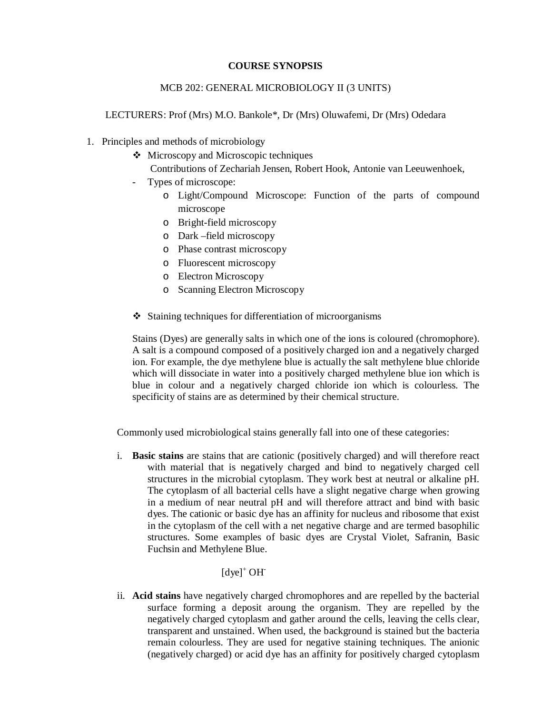#### **COURSE SYNOPSIS**

#### MCB 202: GENERAL MICROBIOLOGY II (3 UNITS)

LECTURERS: Prof (Mrs) M.O. Bankole\*, Dr (Mrs) Oluwafemi, Dr (Mrs) Odedara

- 1. Principles and methods of microbiology
	- ❖ Microscopy and Microscopic techniques
		- Contributions of Zechariah Jensen, Robert Hook, Antonie van Leeuwenhoek,
	- Types of microscope:
		- o Light/Compound Microscope: Function of the parts of compound microscope
		- o Bright-field microscopy
		- o Dark –field microscopy
		- o Phase contrast microscopy
		- o Fluorescent microscopy
		- o Electron Microscopy
		- o Scanning Electron Microscopy
	- Staining techniques for differentiation of microorganisms

Stains (Dyes) are generally salts in which one of the ions is coloured (chromophore). A salt is a compound composed of a positively charged ion and a negatively charged ion. For example, the dye methylene blue is actually the salt methylene blue chloride which will dissociate in water into a positively charged methylene blue ion which is blue in colour and a negatively charged chloride ion which is colourless. The specificity of stains are as determined by their chemical structure.

Commonly used microbiological stains generally fall into one of these categories:

i. **Basic stains** are stains that are cationic (positively charged) and will therefore react with material that is negatively charged and bind to negatively charged cell structures in the microbial cytoplasm. They work best at neutral or alkaline pH. The cytoplasm of all bacterial cells have a slight negative charge when growing in a medium of near neutral pH and will therefore attract and bind with basic dyes. The cationic or basic dye has an affinity for nucleus and ribosome that exist in the cytoplasm of the cell with a net negative charge and are termed basophilic structures. Some examples of basic dyes are Crystal Violet, Safranin, Basic Fuchsin and Methylene Blue.

### $[dye]^+$  OH<sup>-</sup>

ii. **Acid stains** have negatively charged chromophores and are repelled by the bacterial surface forming a deposit aroung the organism. They are repelled by the negatively charged cytoplasm and gather around the cells, leaving the cells clear, transparent and unstained. When used, the background is stained but the bacteria remain colourless. They are used for negative staining techniques. The anionic (negatively charged) or acid dye has an affinity for positively charged cytoplasm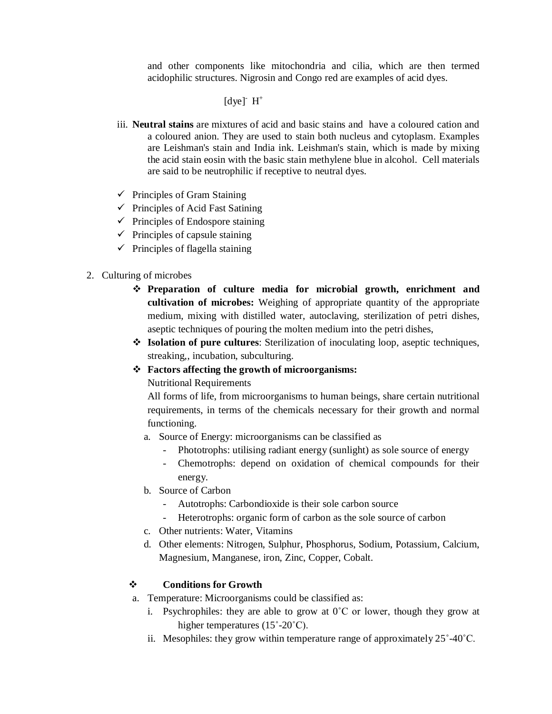and other components like mitochondria and cilia, which are then termed acidophilic structures. Nigrosin and Congo red are examples of acid dyes.

# $[dye]$ <sup>-</sup>  $H^+$

- iii. **Neutral stains** are mixtures of acid and basic stains and have a coloured cation and a coloured anion. They are used to stain both nucleus and cytoplasm. Examples are Leishman's stain and India ink. Leishman's stain, which is made by mixing the acid stain eosin with the basic stain methylene blue in alcohol. Cell materials are said to be neutrophilic if receptive to neutral dyes.
- $\checkmark$  Principles of Gram Staining
- $\checkmark$  Principles of Acid Fast Satining
- $\checkmark$  Principles of Endospore staining
- $\checkmark$  Principles of capsule staining
- $\checkmark$  Principles of flagella staining

#### 2. Culturing of microbes

- **Preparation of culture media for microbial growth, enrichment and cultivation of microbes:** Weighing of appropriate quantity of the appropriate medium, mixing with distilled water, autoclaving, sterilization of petri dishes, aseptic techniques of pouring the molten medium into the petri dishes,
- **Isolation of pure cultures**: Sterilization of inoculating loop, aseptic techniques, streaking,, incubation, subculturing.
- **Factors affecting the growth of microorganisms:**

Nutritional Requirements

All forms of life, from microorganisms to human beings, share certain nutritional requirements, in terms of the chemicals necessary for their growth and normal functioning.

- a. Source of Energy: microorganisms can be classified as
	- Phototrophs: utilising radiant energy (sunlight) as sole source of energy
	- Chemotrophs: depend on oxidation of chemical compounds for their energy.
- b. Source of Carbon
	- Autotrophs: Carbondioxide is their sole carbon source
	- Heterotrophs: organic form of carbon as the sole source of carbon
- c. Other nutrients: Water, Vitamins
- d. Other elements: Nitrogen, Sulphur, Phosphorus, Sodium, Potassium, Calcium, Magnesium, Manganese, iron, Zinc, Copper, Cobalt.

#### **Conditions for Growth**

- a. Temperature: Microorganisms could be classified as:
	- i. Psychrophiles: they are able to grow at  $0^{\circ}$ C or lower, though they grow at higher temperatures (15°-20°C).
	- ii. Mesophiles: they grow within temperature range of approximately 25˚-40˚C.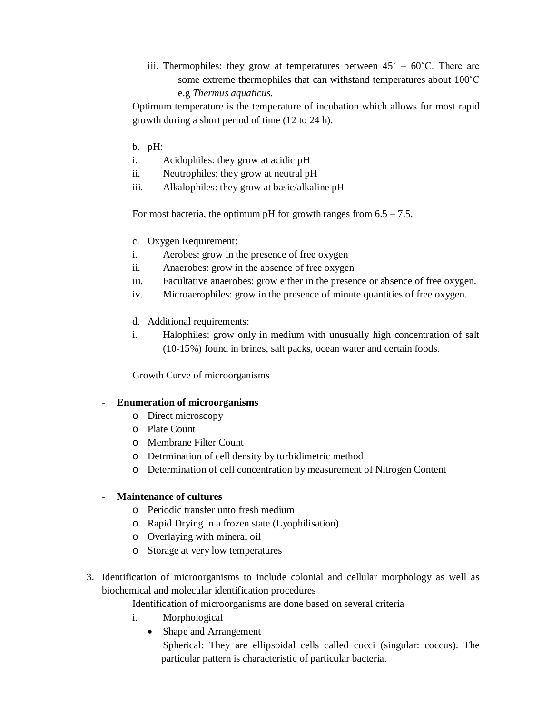iii. Thermophiles: they grow at temperatures between  $45^{\circ} - 60^{\circ}$ C. There are some extreme thermophiles that can withstand temperatures about 100˚C e.g *Thermus aquaticus.* 

Optimum temperature is the temperature of incubation which allows for most rapid growth during a short period of time (12 to 24 h).

- b. pH:
- i. Acidophiles: they grow at acidic pH
- ii. Neutrophiles: they grow at neutral pH
- iii. Alkalophiles: they grow at basic/alkaline pH

For most bacteria, the optimum pH for growth ranges from  $6.5 - 7.5$ .

- c. Oxygen Requirement:
- i. Aerobes: grow in the presence of free oxygen
- ii. Anaerobes: grow in the absence of free oxygen
- iii. Facultative anaerobes: grow either in the presence or absence of free oxygen.
- iv. Microaerophiles: grow in the presence of minute quantities of free oxygen.
- d. Additional requirements:
- i. Halophiles: grow only in medium with unusually high concentration of salt (10-15%) found in brines, salt packs, ocean water and certain foods.

Growth Curve of microorganisms

#### - **Enumeration of microorganisms**

- o Direct microscopy
- o Plate Count
- o Membrane Filter Count
- o Detrmination of cell density by turbidimetric method
- o Determination of cell concentration by measurement of Nitrogen Content

#### - **Maintenance of cultures**

- o Periodic transfer unto fresh medium
- o Rapid Drying in a frozen state (Lyophilisation)
- o Overlaying with mineral oil
- o Storage at very low temperatures
- 3. Identification of microorganisms to include colonial and cellular morphology as well as biochemical and molecular identification procedures

Identification of microorganisms are done based on several criteria

- i. Morphological
	- Shape and Arrangement

Spherical: They are ellipsoidal cells called cocci (singular: coccus). The particular pattern is characteristic of particular bacteria.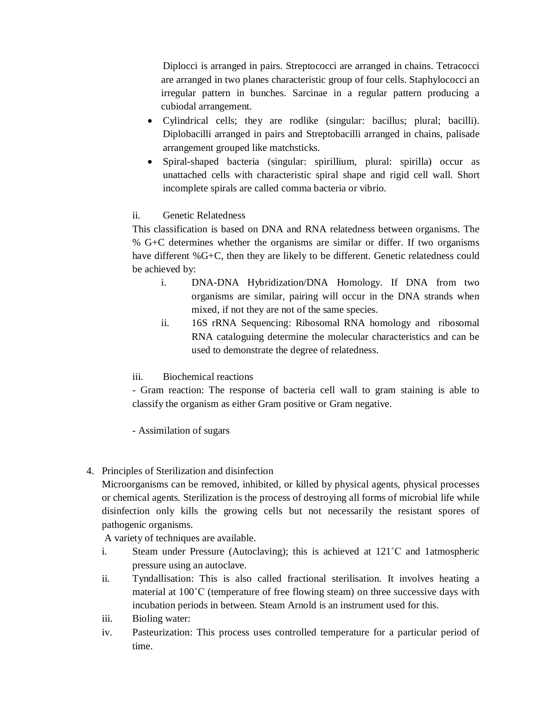Diplocci is arranged in pairs. Streptococci are arranged in chains. Tetracocci are arranged in two planes characteristic group of four cells. Staphylococci an irregular pattern in bunches. Sarcinae in a regular pattern producing a cubiodal arrangement.

- Cylindrical cells; they are rodlike (singular: bacillus; plural; bacilli). Diplobacilli arranged in pairs and Streptobacilli arranged in chains, palisade arrangement grouped like matchsticks.
- Spiral-shaped bacteria (singular: spirillium, plural: spirilla) occur as unattached cells with characteristic spiral shape and rigid cell wall. Short incomplete spirals are called comma bacteria or vibrio.

## ii. Genetic Relatedness

This classification is based on DNA and RNA relatedness between organisms. The % G+C determines whether the organisms are similar or differ. If two organisms have different %G+C, then they are likely to be different. Genetic relatedness could be achieved by:

- i. DNA-DNA Hybridization/DNA Homology. If DNA from two organisms are similar, pairing will occur in the DNA strands when mixed, if not they are not of the same species.
- ii. 16S rRNA Sequencing: Ribosomal RNA homology and ribosomal RNA cataloguing determine the molecular characteristics and can be used to demonstrate the degree of relatedness.

### iii. Biochemical reactions

- Gram reaction: The response of bacteria cell wall to gram staining is able to classify the organism as either Gram positive or Gram negative.

- Assimilation of sugars

4. Principles of Sterilization and disinfection

Microorganisms can be removed, inhibited, or killed by physical agents, physical processes or chemical agents. Sterilization is the process of destroying all forms of microbial life while disinfection only kills the growing cells but not necessarily the resistant spores of pathogenic organisms.

A variety of techniques are available.

- i. Steam under Pressure (Autoclaving); this is achieved at 121˚C and 1atmospheric pressure using an autoclave.
- ii. Tyndallisation: This is also called fractional sterilisation. It involves heating a material at 100˚C (temperature of free flowing steam) on three successive days with incubation periods in between. Steam Arnold is an instrument used for this.
- iii. Bioling water:
- iv. Pasteurization: This process uses controlled temperature for a particular period of time.